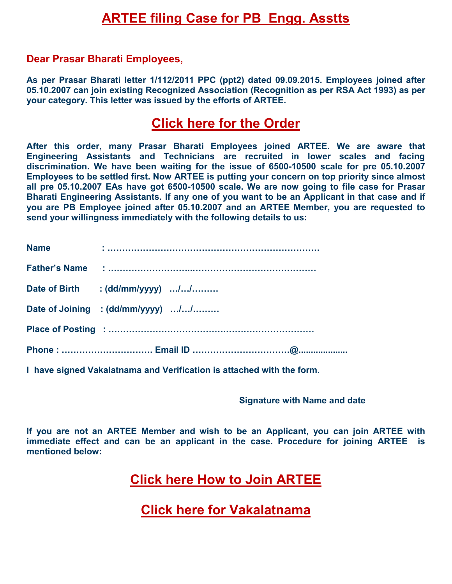# **ARTEE filing Case for PB Engg. Asstts**

#### **Dear Prasar Bharati Employees,**

**As per Prasar Bharati letter 1/112/2011 PPC (ppt2) dated 09.09.2015. Employees joined after 05.10.2007 can join existing Recognized Association (Recognition as per RSA Act 1993) as per your category. This letter was issued by the efforts of ARTEE.** 

### **[Click here for the Order](mailto:http://www.arteeindia.org/central/2017/PB_Order_Allowing_PB_Employees_to%20_join_Exisiting_Recognised_Associations.pdf)**

**After this order, many Prasar Bharati Employees joined ARTEE. We are aware that Engineering Assistants and Technicians are recruited in lower scales and facing discrimination. We have been waiting for the issue of 6500-10500 scale for pre 05.10.2007 Employees to be settled first. Now ARTEE is putting your concern on top priority since almost all pre 05.10.2007 EAs have got 6500-10500 scale. We are now going to file case for Prasar Bharati Engineering Assistants. If any one of you want to be an Applicant in that case and if you are PB Employee joined after 05.10.2007 and an ARTEE Member, you are requested to send your willingness immediately with the following details to us:** 

| <b>Name</b> |                                   |
|-------------|-----------------------------------|
|             |                                   |
|             | Date of Birth : (dd/mm/yyyy) //   |
|             | Date of Joining : (dd/mm/yyyy) // |
|             |                                   |
|             |                                   |

**I have signed Vakalatnama and Verification is attached with the form.** 

#### **Signature with Name and date**

**If you are not an ARTEE Member and wish to be an Applicant, you can join ARTEE with immediate effect and can be an applicant in the case. Procedure for joining ARTEE is mentioned below:** 

**[Click here How to Join ARTEE](http://arteeindia.org/central/2017/How_to_Join_ARTEE.pdf)** 

**[Click here for Vakalatnama](http://arteeindia.org/central/2017/Vakalatnama.pdf)**